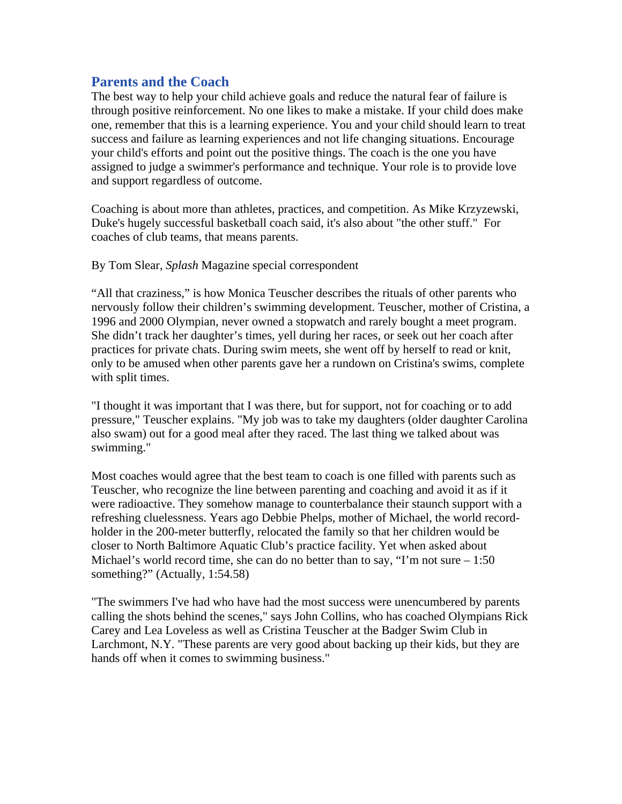# **Parents and the Coach**

The best way to help your child achieve goals and reduce the natural fear of failure is through positive reinforcement. No one likes to make a mistake. If your child does make one, remember that this is a learning experience. You and your child should learn to treat success and failure as learning experiences and not life changing situations. Encourage your child's efforts and point out the positive things. The coach is the one you have assigned to judge a swimmer's performance and technique. Your role is to provide love and support regardless of outcome.

Coaching is about more than athletes, practices, and competition. As Mike Krzyzewski, Duke's hugely successful basketball coach said, it's also about "the other stuff." For coaches of club teams, that means parents.

### By Tom Slear, *Splash* Magazine special correspondent

"All that craziness," is how Monica Teuscher describes the rituals of other parents who nervously follow their children's swimming development. Teuscher, mother of Cristina, a 1996 and 2000 Olympian, never owned a stopwatch and rarely bought a meet program. She didn't track her daughter's times, yell during her races, or seek out her coach after practices for private chats. During swim meets, she went off by herself to read or knit, only to be amused when other parents gave her a rundown on Cristina's swims, complete with split times.

"I thought it was important that I was there, but for support, not for coaching or to add pressure," Teuscher explains. "My job was to take my daughters (older daughter Carolina also swam) out for a good meal after they raced. The last thing we talked about was swimming."

Most coaches would agree that the best team to coach is one filled with parents such as Teuscher, who recognize the line between parenting and coaching and avoid it as if it were radioactive. They somehow manage to counterbalance their staunch support with a refreshing cluelessness. Years ago Debbie Phelps, mother of Michael, the world recordholder in the 200-meter butterfly, relocated the family so that her children would be closer to North Baltimore Aquatic Club's practice facility. Yet when asked about Michael's world record time, she can do no better than to say, "I'm not sure – 1:50 something?" (Actually, 1:54.58)

"The swimmers I've had who have had the most success were unencumbered by parents calling the shots behind the scenes," says John Collins, who has coached Olympians Rick Carey and Lea Loveless as well as Cristina Teuscher at the Badger Swim Club in Larchmont, N.Y. "These parents are very good about backing up their kids, but they are hands off when it comes to swimming business."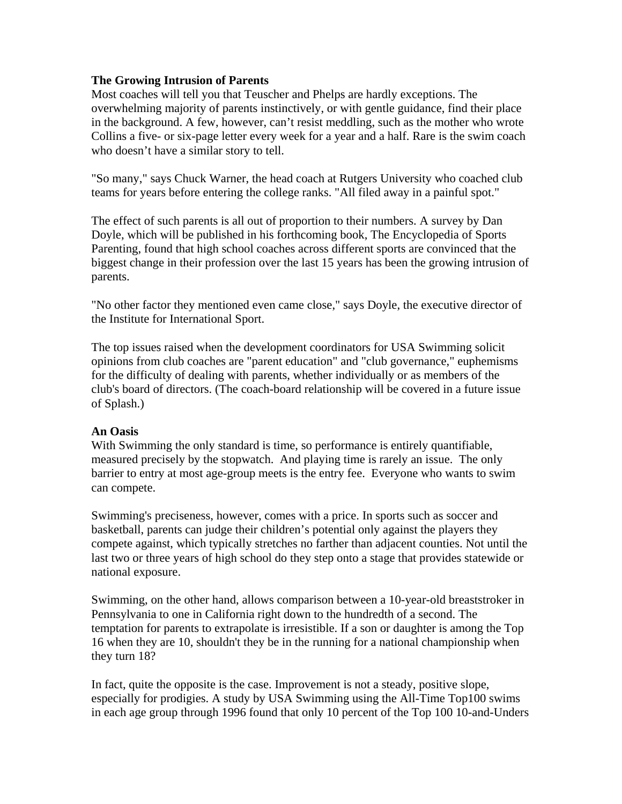## **The Growing Intrusion of Parents**

Most coaches will tell you that Teuscher and Phelps are hardly exceptions. The overwhelming majority of parents instinctively, or with gentle guidance, find their place in the background. A few, however, can't resist meddling, such as the mother who wrote Collins a five- or six-page letter every week for a year and a half. Rare is the swim coach who doesn't have a similar story to tell.

"So many," says Chuck Warner, the head coach at Rutgers University who coached club teams for years before entering the college ranks. "All filed away in a painful spot."

The effect of such parents is all out of proportion to their numbers. A survey by Dan Doyle, which will be published in his forthcoming book, The Encyclopedia of Sports Parenting, found that high school coaches across different sports are convinced that the biggest change in their profession over the last 15 years has been the growing intrusion of parents.

"No other factor they mentioned even came close," says Doyle, the executive director of the Institute for International Sport.

The top issues raised when the development coordinators for USA Swimming solicit opinions from club coaches are "parent education" and "club governance," euphemisms for the difficulty of dealing with parents, whether individually or as members of the club's board of directors. (The coach-board relationship will be covered in a future issue of Splash.)

# **An Oasis**

With Swimming the only standard is time, so performance is entirely quantifiable, measured precisely by the stopwatch. And playing time is rarely an issue. The only barrier to entry at most age-group meets is the entry fee. Everyone who wants to swim can compete.

Swimming's preciseness, however, comes with a price. In sports such as soccer and basketball, parents can judge their children's potential only against the players they compete against, which typically stretches no farther than adjacent counties. Not until the last two or three years of high school do they step onto a stage that provides statewide or national exposure.

Swimming, on the other hand, allows comparison between a 10-year-old breaststroker in Pennsylvania to one in California right down to the hundredth of a second. The temptation for parents to extrapolate is irresistible. If a son or daughter is among the Top 16 when they are 10, shouldn't they be in the running for a national championship when they turn 18?

In fact, quite the opposite is the case. Improvement is not a steady, positive slope, especially for prodigies. A study by USA Swimming using the All-Time Top100 swims in each age group through 1996 found that only 10 percent of the Top 100 10-and-Unders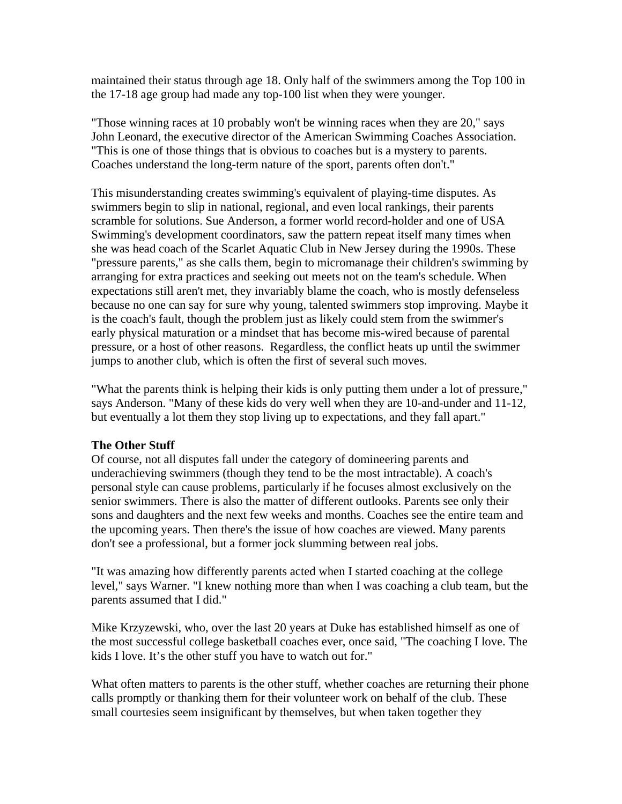maintained their status through age 18. Only half of the swimmers among the Top 100 in the 17-18 age group had made any top-100 list when they were younger.

"Those winning races at 10 probably won't be winning races when they are 20," says John Leonard, the executive director of the American Swimming Coaches Association. "This is one of those things that is obvious to coaches but is a mystery to parents. Coaches understand the long-term nature of the sport, parents often don't."

This misunderstanding creates swimming's equivalent of playing-time disputes. As swimmers begin to slip in national, regional, and even local rankings, their parents scramble for solutions. Sue Anderson, a former world record-holder and one of USA Swimming's development coordinators, saw the pattern repeat itself many times when she was head coach of the Scarlet Aquatic Club in New Jersey during the 1990s. These "pressure parents," as she calls them, begin to micromanage their children's swimming by arranging for extra practices and seeking out meets not on the team's schedule. When expectations still aren't met, they invariably blame the coach, who is mostly defenseless because no one can say for sure why young, talented swimmers stop improving. Maybe it is the coach's fault, though the problem just as likely could stem from the swimmer's early physical maturation or a mindset that has become mis-wired because of parental pressure, or a host of other reasons. Regardless, the conflict heats up until the swimmer jumps to another club, which is often the first of several such moves.

"What the parents think is helping their kids is only putting them under a lot of pressure," says Anderson. "Many of these kids do very well when they are 10-and-under and 11-12, but eventually a lot them they stop living up to expectations, and they fall apart."

### **The Other Stuff**

Of course, not all disputes fall under the category of domineering parents and underachieving swimmers (though they tend to be the most intractable). A coach's personal style can cause problems, particularly if he focuses almost exclusively on the senior swimmers. There is also the matter of different outlooks. Parents see only their sons and daughters and the next few weeks and months. Coaches see the entire team and the upcoming years. Then there's the issue of how coaches are viewed. Many parents don't see a professional, but a former jock slumming between real jobs.

"It was amazing how differently parents acted when I started coaching at the college level," says Warner. "I knew nothing more than when I was coaching a club team, but the parents assumed that I did."

Mike Krzyzewski, who, over the last 20 years at Duke has established himself as one of the most successful college basketball coaches ever, once said, "The coaching I love. The kids I love. It's the other stuff you have to watch out for."

What often matters to parents is the other stuff, whether coaches are returning their phone calls promptly or thanking them for their volunteer work on behalf of the club. These small courtesies seem insignificant by themselves, but when taken together they